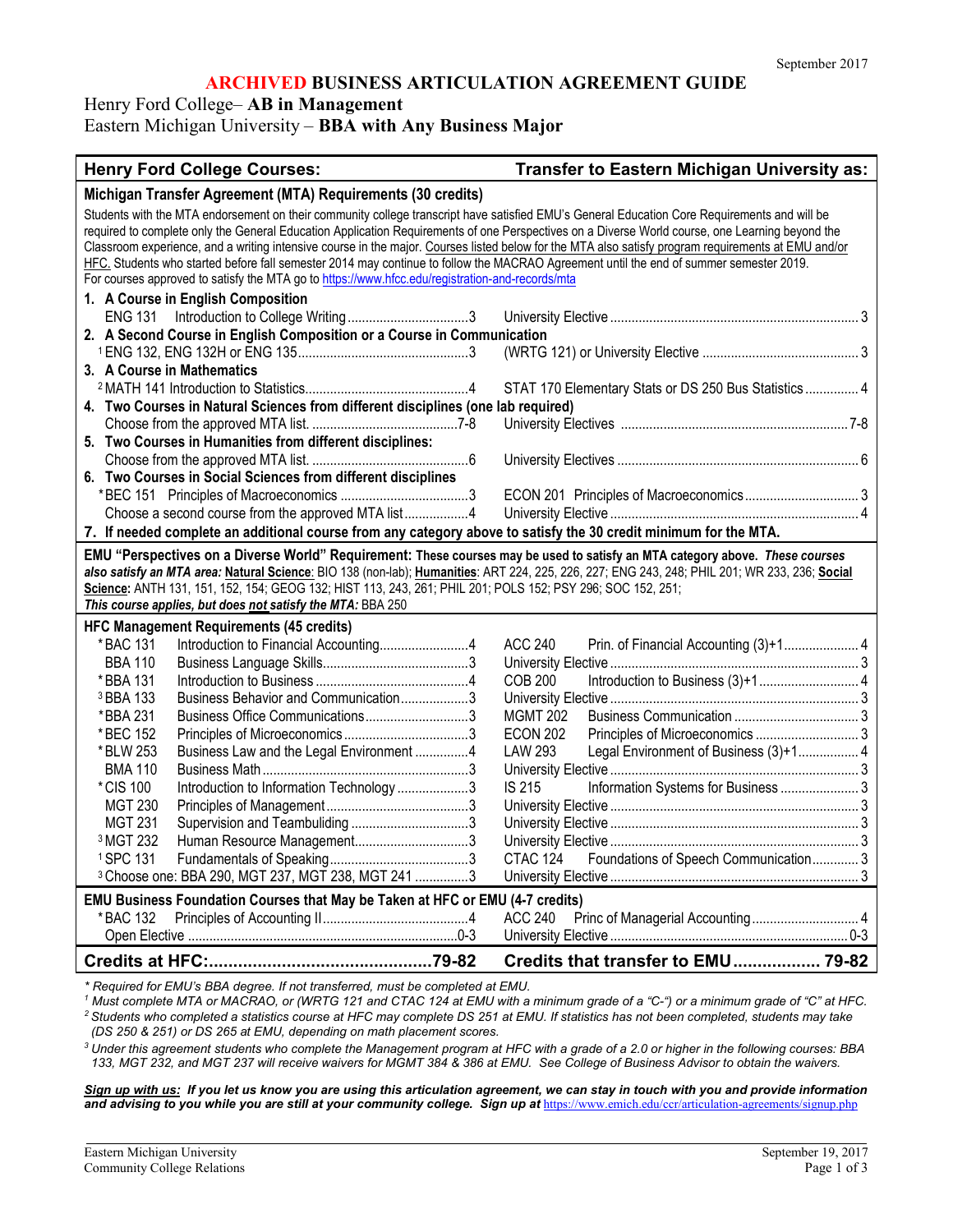## **ARCHIVED BUSINESS ARTICULATION AGREEMENT GUIDE**

Henry Ford College– **AB in Management**

Eastern Michigan University – **BBA with Any Business Major**

#### **Henry Ford College Courses: Transfer to Eastern Michigan University as:**

| Students with the MTA endorsement on their community college transcript have satisfied EMU's General Education Core Requirements and will be<br>required to complete only the General Education Application Requirements of one Perspectives on a Diverse World course, one Learning beyond the<br>Classroom experience, and a writing intensive course in the major. Courses listed below for the MTA also satisfy program requirements at EMU and/or<br>HFC. Students who started before fall semester 2014 may continue to follow the MACRAO Agreement until the end of summer semester 2019.<br>For courses approved to satisfy the MTA go to https://www.hfcc.edu/registration-and-records/mta<br>1. A Course in English Composition<br>2. A Second Course in English Composition or a Course in Communication<br>3. A Course in Mathematics<br>STAT 170 Elementary Stats or DS 250 Bus Statistics  4<br>4. Two Courses in Natural Sciences from different disciplines (one lab required)<br>5. Two Courses in Humanities from different disciplines:<br>6. Two Courses in Social Sciences from different disciplines<br>Choose a second course from the approved MTA list4<br>7. If needed complete an additional course from any category above to satisfy the 30 credit minimum for the MTA.<br>EMU "Perspectives on a Diverse World" Requirement: These courses may be used to satisfy an MTA category above. These courses<br>also satisfy an MTA area: Natural Science: BIO 138 (non-lab); Humanities: ART 224, 225, 226, 227; ENG 243, 248; PHIL 201; WR 233, 236; Social<br>Science: ANTH 131, 151, 152, 154; GEOG 132; HIST 113, 243, 261; PHIL 201; POLS 152; PSY 296; SOC 152, 251;<br>This course applies, but does not satisfy the MTA: BBA 250<br><b>HFC Management Requirements (45 credits)</b><br><b>ACC 240</b><br>Prin. of Financial Accounting (3)+1 4<br>* BAC 131<br><b>BBA 110</b><br>Introduction to Business (3)+1 4<br><b>COB 200</b><br>* BBA 131<br>Business Behavior and Communication3<br><sup>3</sup> BBA 133<br>Business Office Communications3<br>*BBA 231<br><b>MGMT 202</b><br>*BEC 152<br><b>ECON 202</b><br>Business Law and the Legal Environment 4<br>Legal Environment of Business (3)+1 4<br>LAW 293<br>* BLW 253<br><b>BMA 110</b><br>* CIS 100<br><b>IS 215</b><br>Information Systems for Business  3<br>Introduction to Information Technology3<br><b>MGT 230</b><br><b>MGT 231</b><br><sup>3</sup> MGT 232<br>Foundations of Speech Communication 3<br><sup>1</sup> SPC 131<br>CTAC 124<br><sup>3</sup> Choose one: BBA 290, MGT 237, MGT 238, MGT 241 3<br>EMU Business Foundation Courses that May be Taken at HFC or EMU (4-7 credits)<br>* BAC 132<br>ACC 240 | Michigan Transfer Agreement (MTA) Requirements (30 credits) |  |
|----------------------------------------------------------------------------------------------------------------------------------------------------------------------------------------------------------------------------------------------------------------------------------------------------------------------------------------------------------------------------------------------------------------------------------------------------------------------------------------------------------------------------------------------------------------------------------------------------------------------------------------------------------------------------------------------------------------------------------------------------------------------------------------------------------------------------------------------------------------------------------------------------------------------------------------------------------------------------------------------------------------------------------------------------------------------------------------------------------------------------------------------------------------------------------------------------------------------------------------------------------------------------------------------------------------------------------------------------------------------------------------------------------------------------------------------------------------------------------------------------------------------------------------------------------------------------------------------------------------------------------------------------------------------------------------------------------------------------------------------------------------------------------------------------------------------------------------------------------------------------------------------------------------------------------------------------------------------------------------------------------------------------------------------------------------------------------------------------------------------------------------------------------------------------------------------------------------------------------------------------------------------------------------------------------------------------------------------------------------------------------------------------------------------------------------------------------------------------------------------------------------------------------------------------------------------------------------------------------------------------------------------------------------------------------------------------------------------|-------------------------------------------------------------|--|
|                                                                                                                                                                                                                                                                                                                                                                                                                                                                                                                                                                                                                                                                                                                                                                                                                                                                                                                                                                                                                                                                                                                                                                                                                                                                                                                                                                                                                                                                                                                                                                                                                                                                                                                                                                                                                                                                                                                                                                                                                                                                                                                                                                                                                                                                                                                                                                                                                                                                                                                                                                                                                                                                                                                      |                                                             |  |
|                                                                                                                                                                                                                                                                                                                                                                                                                                                                                                                                                                                                                                                                                                                                                                                                                                                                                                                                                                                                                                                                                                                                                                                                                                                                                                                                                                                                                                                                                                                                                                                                                                                                                                                                                                                                                                                                                                                                                                                                                                                                                                                                                                                                                                                                                                                                                                                                                                                                                                                                                                                                                                                                                                                      |                                                             |  |
|                                                                                                                                                                                                                                                                                                                                                                                                                                                                                                                                                                                                                                                                                                                                                                                                                                                                                                                                                                                                                                                                                                                                                                                                                                                                                                                                                                                                                                                                                                                                                                                                                                                                                                                                                                                                                                                                                                                                                                                                                                                                                                                                                                                                                                                                                                                                                                                                                                                                                                                                                                                                                                                                                                                      |                                                             |  |
|                                                                                                                                                                                                                                                                                                                                                                                                                                                                                                                                                                                                                                                                                                                                                                                                                                                                                                                                                                                                                                                                                                                                                                                                                                                                                                                                                                                                                                                                                                                                                                                                                                                                                                                                                                                                                                                                                                                                                                                                                                                                                                                                                                                                                                                                                                                                                                                                                                                                                                                                                                                                                                                                                                                      |                                                             |  |
|                                                                                                                                                                                                                                                                                                                                                                                                                                                                                                                                                                                                                                                                                                                                                                                                                                                                                                                                                                                                                                                                                                                                                                                                                                                                                                                                                                                                                                                                                                                                                                                                                                                                                                                                                                                                                                                                                                                                                                                                                                                                                                                                                                                                                                                                                                                                                                                                                                                                                                                                                                                                                                                                                                                      |                                                             |  |
|                                                                                                                                                                                                                                                                                                                                                                                                                                                                                                                                                                                                                                                                                                                                                                                                                                                                                                                                                                                                                                                                                                                                                                                                                                                                                                                                                                                                                                                                                                                                                                                                                                                                                                                                                                                                                                                                                                                                                                                                                                                                                                                                                                                                                                                                                                                                                                                                                                                                                                                                                                                                                                                                                                                      |                                                             |  |
|                                                                                                                                                                                                                                                                                                                                                                                                                                                                                                                                                                                                                                                                                                                                                                                                                                                                                                                                                                                                                                                                                                                                                                                                                                                                                                                                                                                                                                                                                                                                                                                                                                                                                                                                                                                                                                                                                                                                                                                                                                                                                                                                                                                                                                                                                                                                                                                                                                                                                                                                                                                                                                                                                                                      |                                                             |  |
|                                                                                                                                                                                                                                                                                                                                                                                                                                                                                                                                                                                                                                                                                                                                                                                                                                                                                                                                                                                                                                                                                                                                                                                                                                                                                                                                                                                                                                                                                                                                                                                                                                                                                                                                                                                                                                                                                                                                                                                                                                                                                                                                                                                                                                                                                                                                                                                                                                                                                                                                                                                                                                                                                                                      |                                                             |  |
|                                                                                                                                                                                                                                                                                                                                                                                                                                                                                                                                                                                                                                                                                                                                                                                                                                                                                                                                                                                                                                                                                                                                                                                                                                                                                                                                                                                                                                                                                                                                                                                                                                                                                                                                                                                                                                                                                                                                                                                                                                                                                                                                                                                                                                                                                                                                                                                                                                                                                                                                                                                                                                                                                                                      |                                                             |  |
|                                                                                                                                                                                                                                                                                                                                                                                                                                                                                                                                                                                                                                                                                                                                                                                                                                                                                                                                                                                                                                                                                                                                                                                                                                                                                                                                                                                                                                                                                                                                                                                                                                                                                                                                                                                                                                                                                                                                                                                                                                                                                                                                                                                                                                                                                                                                                                                                                                                                                                                                                                                                                                                                                                                      |                                                             |  |
|                                                                                                                                                                                                                                                                                                                                                                                                                                                                                                                                                                                                                                                                                                                                                                                                                                                                                                                                                                                                                                                                                                                                                                                                                                                                                                                                                                                                                                                                                                                                                                                                                                                                                                                                                                                                                                                                                                                                                                                                                                                                                                                                                                                                                                                                                                                                                                                                                                                                                                                                                                                                                                                                                                                      |                                                             |  |
|                                                                                                                                                                                                                                                                                                                                                                                                                                                                                                                                                                                                                                                                                                                                                                                                                                                                                                                                                                                                                                                                                                                                                                                                                                                                                                                                                                                                                                                                                                                                                                                                                                                                                                                                                                                                                                                                                                                                                                                                                                                                                                                                                                                                                                                                                                                                                                                                                                                                                                                                                                                                                                                                                                                      |                                                             |  |
|                                                                                                                                                                                                                                                                                                                                                                                                                                                                                                                                                                                                                                                                                                                                                                                                                                                                                                                                                                                                                                                                                                                                                                                                                                                                                                                                                                                                                                                                                                                                                                                                                                                                                                                                                                                                                                                                                                                                                                                                                                                                                                                                                                                                                                                                                                                                                                                                                                                                                                                                                                                                                                                                                                                      |                                                             |  |
|                                                                                                                                                                                                                                                                                                                                                                                                                                                                                                                                                                                                                                                                                                                                                                                                                                                                                                                                                                                                                                                                                                                                                                                                                                                                                                                                                                                                                                                                                                                                                                                                                                                                                                                                                                                                                                                                                                                                                                                                                                                                                                                                                                                                                                                                                                                                                                                                                                                                                                                                                                                                                                                                                                                      |                                                             |  |
|                                                                                                                                                                                                                                                                                                                                                                                                                                                                                                                                                                                                                                                                                                                                                                                                                                                                                                                                                                                                                                                                                                                                                                                                                                                                                                                                                                                                                                                                                                                                                                                                                                                                                                                                                                                                                                                                                                                                                                                                                                                                                                                                                                                                                                                                                                                                                                                                                                                                                                                                                                                                                                                                                                                      |                                                             |  |
|                                                                                                                                                                                                                                                                                                                                                                                                                                                                                                                                                                                                                                                                                                                                                                                                                                                                                                                                                                                                                                                                                                                                                                                                                                                                                                                                                                                                                                                                                                                                                                                                                                                                                                                                                                                                                                                                                                                                                                                                                                                                                                                                                                                                                                                                                                                                                                                                                                                                                                                                                                                                                                                                                                                      |                                                             |  |
|                                                                                                                                                                                                                                                                                                                                                                                                                                                                                                                                                                                                                                                                                                                                                                                                                                                                                                                                                                                                                                                                                                                                                                                                                                                                                                                                                                                                                                                                                                                                                                                                                                                                                                                                                                                                                                                                                                                                                                                                                                                                                                                                                                                                                                                                                                                                                                                                                                                                                                                                                                                                                                                                                                                      |                                                             |  |
|                                                                                                                                                                                                                                                                                                                                                                                                                                                                                                                                                                                                                                                                                                                                                                                                                                                                                                                                                                                                                                                                                                                                                                                                                                                                                                                                                                                                                                                                                                                                                                                                                                                                                                                                                                                                                                                                                                                                                                                                                                                                                                                                                                                                                                                                                                                                                                                                                                                                                                                                                                                                                                                                                                                      |                                                             |  |
|                                                                                                                                                                                                                                                                                                                                                                                                                                                                                                                                                                                                                                                                                                                                                                                                                                                                                                                                                                                                                                                                                                                                                                                                                                                                                                                                                                                                                                                                                                                                                                                                                                                                                                                                                                                                                                                                                                                                                                                                                                                                                                                                                                                                                                                                                                                                                                                                                                                                                                                                                                                                                                                                                                                      |                                                             |  |
|                                                                                                                                                                                                                                                                                                                                                                                                                                                                                                                                                                                                                                                                                                                                                                                                                                                                                                                                                                                                                                                                                                                                                                                                                                                                                                                                                                                                                                                                                                                                                                                                                                                                                                                                                                                                                                                                                                                                                                                                                                                                                                                                                                                                                                                                                                                                                                                                                                                                                                                                                                                                                                                                                                                      |                                                             |  |
|                                                                                                                                                                                                                                                                                                                                                                                                                                                                                                                                                                                                                                                                                                                                                                                                                                                                                                                                                                                                                                                                                                                                                                                                                                                                                                                                                                                                                                                                                                                                                                                                                                                                                                                                                                                                                                                                                                                                                                                                                                                                                                                                                                                                                                                                                                                                                                                                                                                                                                                                                                                                                                                                                                                      |                                                             |  |
|                                                                                                                                                                                                                                                                                                                                                                                                                                                                                                                                                                                                                                                                                                                                                                                                                                                                                                                                                                                                                                                                                                                                                                                                                                                                                                                                                                                                                                                                                                                                                                                                                                                                                                                                                                                                                                                                                                                                                                                                                                                                                                                                                                                                                                                                                                                                                                                                                                                                                                                                                                                                                                                                                                                      |                                                             |  |
|                                                                                                                                                                                                                                                                                                                                                                                                                                                                                                                                                                                                                                                                                                                                                                                                                                                                                                                                                                                                                                                                                                                                                                                                                                                                                                                                                                                                                                                                                                                                                                                                                                                                                                                                                                                                                                                                                                                                                                                                                                                                                                                                                                                                                                                                                                                                                                                                                                                                                                                                                                                                                                                                                                                      |                                                             |  |
|                                                                                                                                                                                                                                                                                                                                                                                                                                                                                                                                                                                                                                                                                                                                                                                                                                                                                                                                                                                                                                                                                                                                                                                                                                                                                                                                                                                                                                                                                                                                                                                                                                                                                                                                                                                                                                                                                                                                                                                                                                                                                                                                                                                                                                                                                                                                                                                                                                                                                                                                                                                                                                                                                                                      |                                                             |  |
|                                                                                                                                                                                                                                                                                                                                                                                                                                                                                                                                                                                                                                                                                                                                                                                                                                                                                                                                                                                                                                                                                                                                                                                                                                                                                                                                                                                                                                                                                                                                                                                                                                                                                                                                                                                                                                                                                                                                                                                                                                                                                                                                                                                                                                                                                                                                                                                                                                                                                                                                                                                                                                                                                                                      |                                                             |  |
|                                                                                                                                                                                                                                                                                                                                                                                                                                                                                                                                                                                                                                                                                                                                                                                                                                                                                                                                                                                                                                                                                                                                                                                                                                                                                                                                                                                                                                                                                                                                                                                                                                                                                                                                                                                                                                                                                                                                                                                                                                                                                                                                                                                                                                                                                                                                                                                                                                                                                                                                                                                                                                                                                                                      |                                                             |  |
|                                                                                                                                                                                                                                                                                                                                                                                                                                                                                                                                                                                                                                                                                                                                                                                                                                                                                                                                                                                                                                                                                                                                                                                                                                                                                                                                                                                                                                                                                                                                                                                                                                                                                                                                                                                                                                                                                                                                                                                                                                                                                                                                                                                                                                                                                                                                                                                                                                                                                                                                                                                                                                                                                                                      |                                                             |  |
|                                                                                                                                                                                                                                                                                                                                                                                                                                                                                                                                                                                                                                                                                                                                                                                                                                                                                                                                                                                                                                                                                                                                                                                                                                                                                                                                                                                                                                                                                                                                                                                                                                                                                                                                                                                                                                                                                                                                                                                                                                                                                                                                                                                                                                                                                                                                                                                                                                                                                                                                                                                                                                                                                                                      |                                                             |  |
|                                                                                                                                                                                                                                                                                                                                                                                                                                                                                                                                                                                                                                                                                                                                                                                                                                                                                                                                                                                                                                                                                                                                                                                                                                                                                                                                                                                                                                                                                                                                                                                                                                                                                                                                                                                                                                                                                                                                                                                                                                                                                                                                                                                                                                                                                                                                                                                                                                                                                                                                                                                                                                                                                                                      |                                                             |  |
|                                                                                                                                                                                                                                                                                                                                                                                                                                                                                                                                                                                                                                                                                                                                                                                                                                                                                                                                                                                                                                                                                                                                                                                                                                                                                                                                                                                                                                                                                                                                                                                                                                                                                                                                                                                                                                                                                                                                                                                                                                                                                                                                                                                                                                                                                                                                                                                                                                                                                                                                                                                                                                                                                                                      |                                                             |  |
|                                                                                                                                                                                                                                                                                                                                                                                                                                                                                                                                                                                                                                                                                                                                                                                                                                                                                                                                                                                                                                                                                                                                                                                                                                                                                                                                                                                                                                                                                                                                                                                                                                                                                                                                                                                                                                                                                                                                                                                                                                                                                                                                                                                                                                                                                                                                                                                                                                                                                                                                                                                                                                                                                                                      |                                                             |  |
|                                                                                                                                                                                                                                                                                                                                                                                                                                                                                                                                                                                                                                                                                                                                                                                                                                                                                                                                                                                                                                                                                                                                                                                                                                                                                                                                                                                                                                                                                                                                                                                                                                                                                                                                                                                                                                                                                                                                                                                                                                                                                                                                                                                                                                                                                                                                                                                                                                                                                                                                                                                                                                                                                                                      |                                                             |  |
|                                                                                                                                                                                                                                                                                                                                                                                                                                                                                                                                                                                                                                                                                                                                                                                                                                                                                                                                                                                                                                                                                                                                                                                                                                                                                                                                                                                                                                                                                                                                                                                                                                                                                                                                                                                                                                                                                                                                                                                                                                                                                                                                                                                                                                                                                                                                                                                                                                                                                                                                                                                                                                                                                                                      |                                                             |  |
|                                                                                                                                                                                                                                                                                                                                                                                                                                                                                                                                                                                                                                                                                                                                                                                                                                                                                                                                                                                                                                                                                                                                                                                                                                                                                                                                                                                                                                                                                                                                                                                                                                                                                                                                                                                                                                                                                                                                                                                                                                                                                                                                                                                                                                                                                                                                                                                                                                                                                                                                                                                                                                                                                                                      |                                                             |  |
|                                                                                                                                                                                                                                                                                                                                                                                                                                                                                                                                                                                                                                                                                                                                                                                                                                                                                                                                                                                                                                                                                                                                                                                                                                                                                                                                                                                                                                                                                                                                                                                                                                                                                                                                                                                                                                                                                                                                                                                                                                                                                                                                                                                                                                                                                                                                                                                                                                                                                                                                                                                                                                                                                                                      |                                                             |  |
|                                                                                                                                                                                                                                                                                                                                                                                                                                                                                                                                                                                                                                                                                                                                                                                                                                                                                                                                                                                                                                                                                                                                                                                                                                                                                                                                                                                                                                                                                                                                                                                                                                                                                                                                                                                                                                                                                                                                                                                                                                                                                                                                                                                                                                                                                                                                                                                                                                                                                                                                                                                                                                                                                                                      |                                                             |  |
|                                                                                                                                                                                                                                                                                                                                                                                                                                                                                                                                                                                                                                                                                                                                                                                                                                                                                                                                                                                                                                                                                                                                                                                                                                                                                                                                                                                                                                                                                                                                                                                                                                                                                                                                                                                                                                                                                                                                                                                                                                                                                                                                                                                                                                                                                                                                                                                                                                                                                                                                                                                                                                                                                                                      |                                                             |  |
|                                                                                                                                                                                                                                                                                                                                                                                                                                                                                                                                                                                                                                                                                                                                                                                                                                                                                                                                                                                                                                                                                                                                                                                                                                                                                                                                                                                                                                                                                                                                                                                                                                                                                                                                                                                                                                                                                                                                                                                                                                                                                                                                                                                                                                                                                                                                                                                                                                                                                                                                                                                                                                                                                                                      |                                                             |  |
|                                                                                                                                                                                                                                                                                                                                                                                                                                                                                                                                                                                                                                                                                                                                                                                                                                                                                                                                                                                                                                                                                                                                                                                                                                                                                                                                                                                                                                                                                                                                                                                                                                                                                                                                                                                                                                                                                                                                                                                                                                                                                                                                                                                                                                                                                                                                                                                                                                                                                                                                                                                                                                                                                                                      |                                                             |  |
|                                                                                                                                                                                                                                                                                                                                                                                                                                                                                                                                                                                                                                                                                                                                                                                                                                                                                                                                                                                                                                                                                                                                                                                                                                                                                                                                                                                                                                                                                                                                                                                                                                                                                                                                                                                                                                                                                                                                                                                                                                                                                                                                                                                                                                                                                                                                                                                                                                                                                                                                                                                                                                                                                                                      |                                                             |  |
| Credits that transfer to EMU 79-82                                                                                                                                                                                                                                                                                                                                                                                                                                                                                                                                                                                                                                                                                                                                                                                                                                                                                                                                                                                                                                                                                                                                                                                                                                                                                                                                                                                                                                                                                                                                                                                                                                                                                                                                                                                                                                                                                                                                                                                                                                                                                                                                                                                                                                                                                                                                                                                                                                                                                                                                                                                                                                                                                   |                                                             |  |

*\* Required for EMU's BBA degree. If not transferred, must be completed at EMU.*

*<sup>1</sup> Must complete MTA or MACRAO, or (WRTG 121 and CTAC 124 at EMU with a minimum grade of a "C-") or a minimum grade of "C" at HFC. 2 Students who completed a statistics course at HFC may complete DS 251 at EMU. If statistics has not been completed, students may take (DS 250 & 251) or DS 265 at EMU, depending on math placement scores.*

*<sup>3</sup> Under this agreement students who complete the Management program at HFC with a grade of a 2.0 or higher in the following courses: BBA 133, MGT 232, and MGT 237 will receive waivers for MGMT 384 & 386 at EMU. See College of Business Advisor to obtain the waivers.* 

*Sign up with us: If you let us know you are using this articulation agreement, we can stay in touch with you and provide information*  and advising to you while you are still at your community college. Sign up at <https://www.emich.edu/ccr/articulation-agreements/signup.php>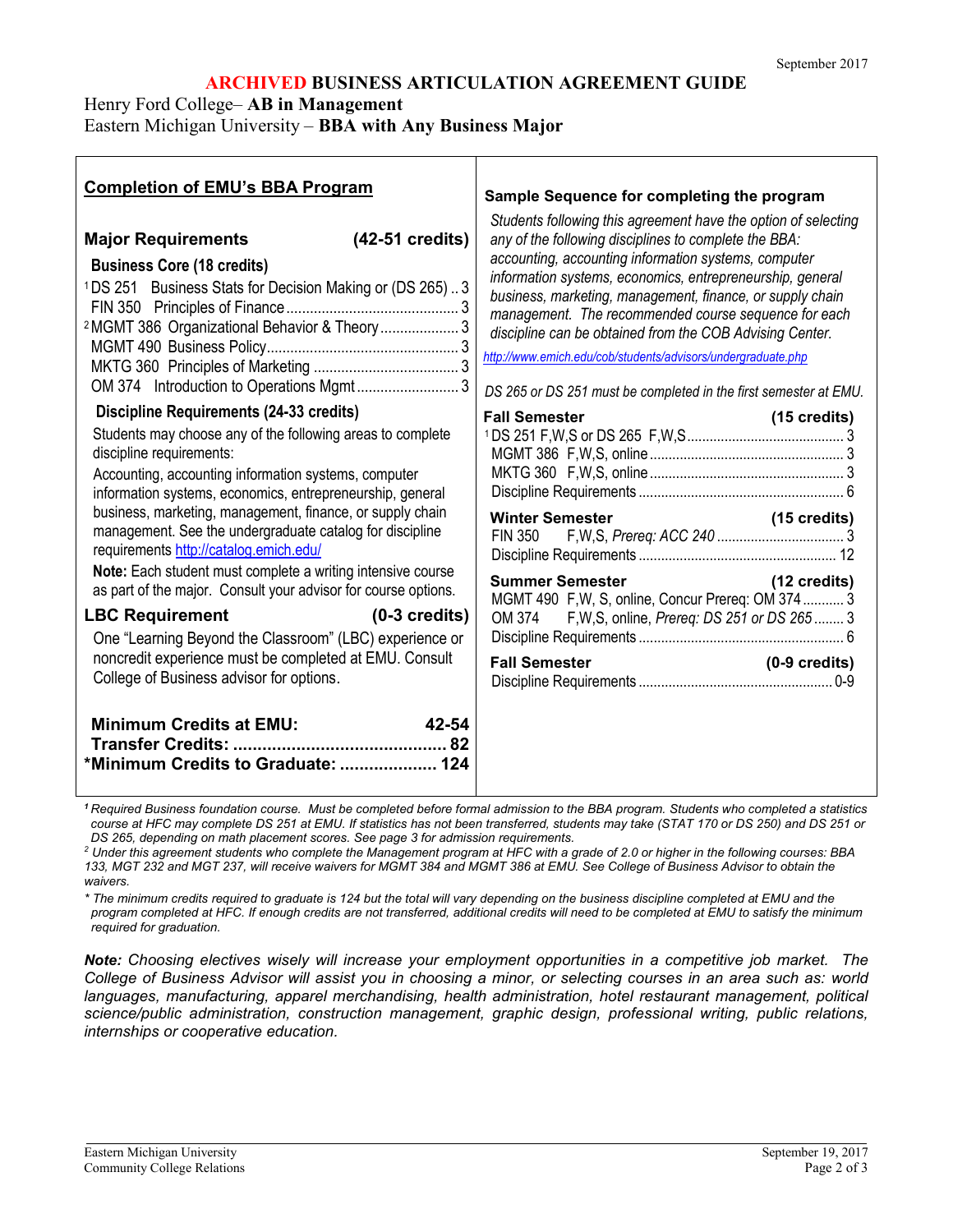#### **ARCHIVED BUSINESS ARTICULATION AGREEMENT GUIDE**

Henry Ford College– **AB in Management**

Eastern Michigan University – **BBA with Any Business Major**

| <b>Completion of EMU's BBA Program</b>                                            | Sample Sequence for completing the program                       |
|-----------------------------------------------------------------------------------|------------------------------------------------------------------|
| (42-51 credits)                                                                   | Students following this agreement have the option of selecting   |
| <b>Major Requirements</b>                                                         | any of the following disciplines to complete the BBA:            |
| <b>Business Core (18 credits)</b>                                                 | accounting, accounting information systems, computer             |
| <sup>1</sup> DS 251 Business Stats for Decision Making or (DS 265)3               | information systems, economics, entrepreneurship, general        |
|                                                                                   | business, marketing, management, finance, or supply chain        |
| <sup>2</sup> MGMT 386 Organizational Behavior & Theory 3                          | management. The recommended course sequence for each             |
|                                                                                   | discipline can be obtained from the COB Advising Center.         |
|                                                                                   | http://www.emich.edu/cob/students/advisors/undergraduate.php     |
|                                                                                   | DS 265 or DS 251 must be completed in the first semester at EMU. |
| Discipline Requirements (24-33 credits)                                           |                                                                  |
| Students may choose any of the following areas to complete                        | <b>Fall Semester</b>                                             |
| discipline requirements:                                                          |                                                                  |
| Accounting, accounting information systems, computer                              |                                                                  |
| information systems, economics, entrepreneurship, general                         |                                                                  |
| business, marketing, management, finance, or supply chain                         |                                                                  |
| management. See the undergraduate catalog for discipline                          |                                                                  |
| requirements http://catalog.emich.edu/                                            | <b>Summer Semester</b>                                           |
| Note: Each student must complete a writing intensive course                       |                                                                  |
| as part of the major. Consult your advisor for course options.                    | (12 credits)                                                     |
| <b>LBC Requirement</b>                                                            | MGMT 490 F,W, S, online, Concur Prereq: OM 374 3                 |
|                                                                                   | OM 374 F, W, S, online, Prereq: DS 251 or DS 265  3              |
| $(0-3 \text{ credits})$                                                           |                                                                  |
| One "Learning Beyond the Classroom" (LBC) experience or                           | <b>Fall Semester</b>                                             |
| noncredit experience must be completed at EMU. Consult                            | $(0-9 \text{ credits})$                                          |
| College of Business advisor for options.                                          |                                                                  |
| <b>Minimum Credits at EMU:</b><br>$42 - 54$<br>*Minimum Credits to Graduate:  124 |                                                                  |

*<sup>1</sup> Required Business foundation course. Must be completed before formal admission to the BBA program. Students who completed a statistics course at HFC may complete DS 251 at EMU. If statistics has not been transferred, students may take (STAT 170 or DS 250) and DS 251 or DS 265, depending on math placement scores. See page 3 for admission requirements.*

*<sup>2</sup> Under this agreement students who complete the Management program at HFC with a grade of 2.0 or higher in the following courses: BBA 133, MGT 232 and MGT 237, will receive waivers for MGMT 384 and MGMT 386 at EMU. See College of Business Advisor to obtain the waivers.* 

*\* The minimum credits required to graduate is 124 but the total will vary depending on the business discipline completed at EMU and the program completed at HFC. If enough credits are not transferred, additional credits will need to be completed at EMU to satisfy the minimum required for graduation.* 

*Note: Choosing electives wisely will increase your employment opportunities in a competitive job market. The College of Business Advisor will assist you in choosing a minor, or selecting courses in an area such as: world*  languages, manufacturing, apparel merchandising, health administration, hotel restaurant management, political *science/public administration, construction management, graphic design, professional writing, public relations, internships or cooperative education.*